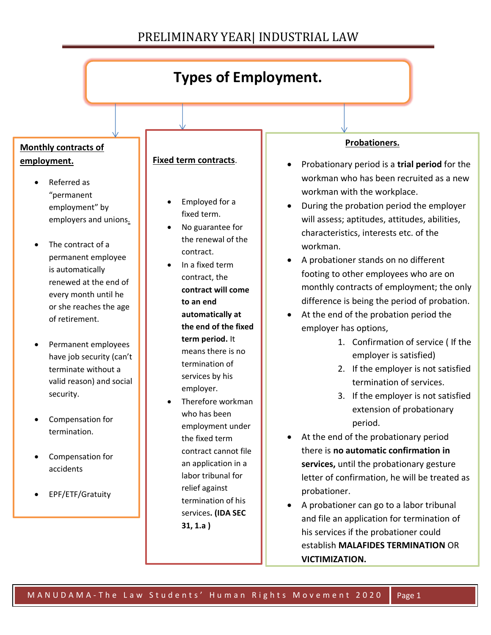

and file an application for termination of his services if the probationer could establish **MALAFIDES TERMINATION** OR **VICTIMIZATION.**

**31, 1.a )**

• Maternity/paternity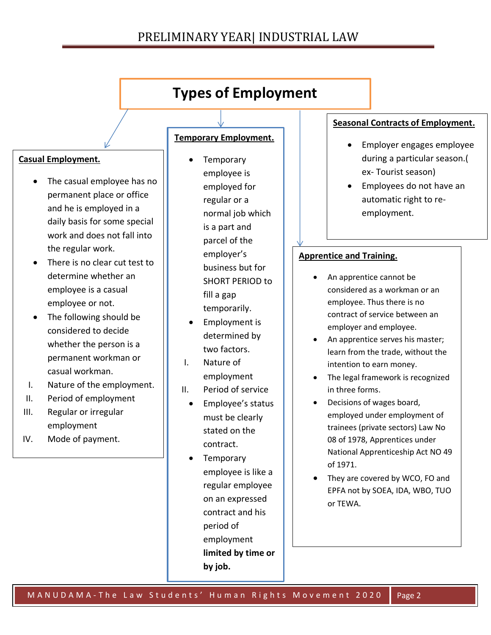## PRELIMINARY YEAR| INDUSTRIAL LAW